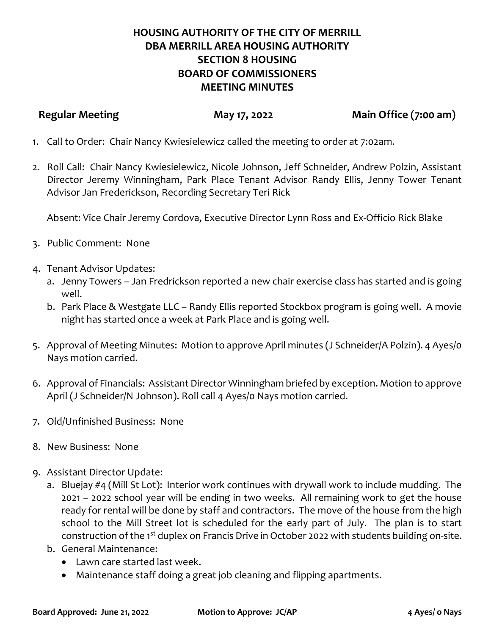## **HOUSING AUTHORITY OF THE CITY OF MERRILL DBA MERRILL AREA HOUSING AUTHORITY SECTION 8 HOUSING BOARD OF COMMISSIONERS MEETING MINUTES**

**Regular Meeting May 17, 2022 Main Office (7:00 am)**

- 1. Call to Order: Chair Nancy Kwiesielewicz called the meeting to order at 7:02am.
- 2. Roll Call: Chair Nancy Kwiesielewicz, Nicole Johnson, Jeff Schneider, Andrew Polzin, Assistant Director Jeremy Winningham, Park Place Tenant Advisor Randy Ellis, Jenny Tower Tenant Advisor Jan Frederickson, Recording Secretary Teri Rick

Absent: Vice Chair Jeremy Cordova, Executive Director Lynn Ross and Ex-Officio Rick Blake

- 3. Public Comment: None
- 4. Tenant Advisor Updates:
	- a. Jenny Towers Jan Fredrickson reported a new chair exercise class has started and is going well.
	- b. Park Place & Westgate LLC Randy Ellis reported Stockbox program is going well. A movie night has started once a week at Park Place and is going well.
- 5. Approval of Meeting Minutes: Motion to approve April minutes (J Schneider/A Polzin). 4 Ayes/0 Nays motion carried.
- 6. Approval of Financials: Assistant Director Winningham briefed by exception. Motion to approve April (J Schneider/N Johnson). Roll call 4 Ayes/0 Nays motion carried.
- 7. Old/Unfinished Business: None
- 8. New Business: None
- 9. Assistant Director Update:
	- a. Bluejay #4 (Mill St Lot): Interior work continues with drywall work to include mudding. The 2021 – 2022 school year will be ending in two weeks. All remaining work to get the house ready for rental will be done by staff and contractors. The move of the house from the high school to the Mill Street lot is scheduled for the early part of July. The plan is to start construction of the 1<sup>st</sup> duplex on Francis Drive in October 2022 with students building on-site.
	- b. General Maintenance:
		- Lawn care started last week.
		- Maintenance staff doing a great job cleaning and flipping apartments.